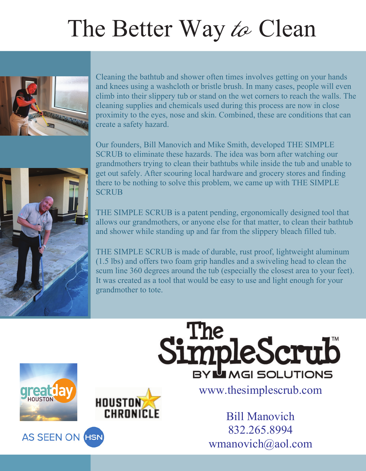## The Better Way  $\text{to}$  Clean<br>Cleaning the bathtub and shower often times involves getting on your hands



and knees using a washoloth or bristle brush. In many cases, people will even climb into their slippery tub or stand on the wet corners to reach the walls. The cleaning supplies and chemicals used during this process are now in close cleaning supplies and chemicals used during this process are now in close<br>proximity to the eyes, nose and skin. Combined, these are conditions that proximity to the eyes, nose and skin. Combined, these are conditions that can create a safety hazard. create <sup>a</sup> safety hazard.

Our founders, Bill Manovich and Mike Smith, developed THE SIMPLE grand mothers trying to clean their bathtubs while inside the tub and unable to get out safely. After scouring local hardware and grocery stores and finding get out safely. After scouring local hardware and grocery stores and finding there to be nothing to solve this problem, we came up with THE SIMPLE there to be nothing to solve this problem, we came up with THE SIMPLE SCRUB **SCRUB** 

THE SIMPLE SCRUB is a patent pending, ergonomically designed tool that allows our grandmothers, or anyone else for that matter, to clean their bathtub allows our grandmothers, or anyone else for that matter, to clean their bathtub<br>and shower while standing up and far from the slippery bleach filled tub. and shower while standing up and far from the slippery bleach filled tub.

THE SIMPLE SCRUB is made of durable, rust proof, lightweight aluminum (1.5 lbs) and offers two foam grip handles and a swiveling head to clean the scum line 360 degrees around the tub (especially the closest area to your feet). scum line 360 degrees around the tub (especially the closest area to your feet).<br>It was created as a tool that would be easy to use and light enough for your It was created as a tool that would be easy to use and light enough for your grandmother to tote. grandmother to tote.



**AS SEEN ON HSN** 



www.thesimplescrub.com

BY MGI SOLUTIONS

SimpleScrub

Bill Manovich 832.265.8994 wmanovich@aol.com